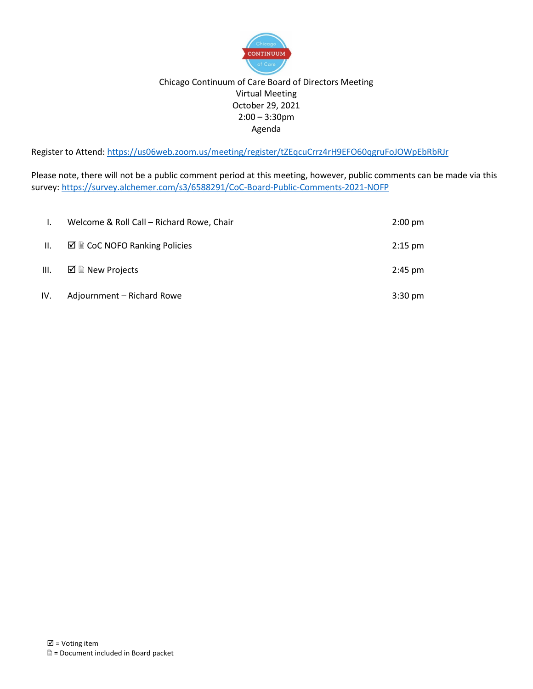

#### Chicago Continuum of Care Board of Directors Meeting Virtual Meeting October 29, 2021 2:00 – 3:30pm Agenda

Register to Attend: <https://us06web.zoom.us/meeting/register/tZEqcuCrrz4rH9EFO60qgruFoJOWpEbRbRJr>

Please note, there will not be a public comment period at this meeting, however, public comments can be made via this survey:<https://survey.alchemer.com/s3/6588291/CoC-Board-Public-Comments-2021-NOFP>

|                 | Welcome & Roll Call – Richard Rowe, Chair                | $2:00 \text{ pm}$ |
|-----------------|----------------------------------------------------------|-------------------|
| $\mathbf{II}$ . | $\boxtimes \text{ } \boxtimes$ CoC NOFO Ranking Policies | $2:15$ pm         |
| Ш.              | $\boxtimes$ $\blacksquare$ New Projects                  | $2:45$ pm         |
| IV.             | Adjournment - Richard Rowe                               | $3:30 \text{ pm}$ |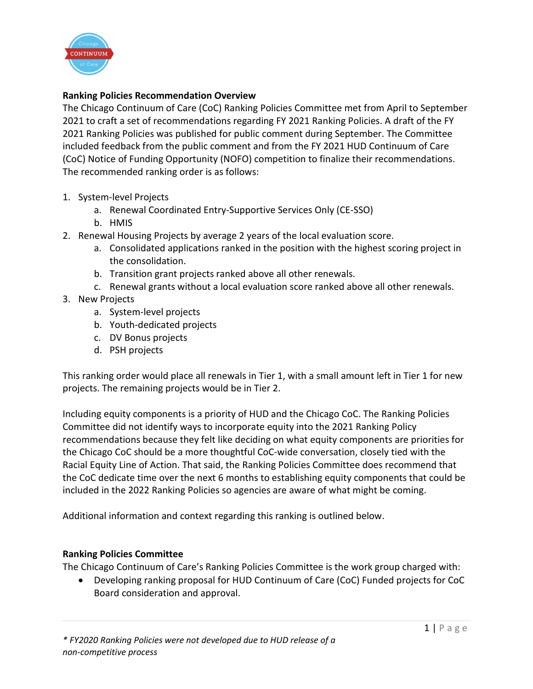

# **Ranking Policies Recommendation Overview**

The Chicago Continuum of Care (CoC) Ranking Policies Committee met from April to September 2021 to craft a set of recommendations regarding FY 2021 Ranking Policies. A draft of the FY 2021 Ranking Policies was published for public comment during September. The Committee included feedback from the public comment and from the FY 2021 HUD Continuum of Care (CoC) Notice of Funding Opportunity (NOFO) competition to finalize their recommendations. The recommended ranking order is as follows:

- 1. System-level Projects
	- a. Renewal Coordinated Entry-Supportive Services Only (CE-SSO)
	- b. HMIS
- 2. Renewal Housing Projects by average 2 years of the local evaluation score.
	- a. Consolidated applications ranked in the position with the highest scoring project in the consolidation.
	- b. Transition grant projects ranked above all other renewals.
	- c. Renewal grants without a local evaluation score ranked above all other renewals.
- 3. New Projects
	- a. System-level projects
	- b. Youth-dedicated projects
	- c. DV Bonus projects
	- d. PSH projects

This ranking order would place all renewals in Tier 1, with a small amount left in Tier 1 for new projects. The remaining projects would be in Tier 2.

Including equity components is a priority of HUD and the Chicago CoC. The Ranking Policies Committee did not identify ways to incorporate equity into the 2021 Ranking Policy recommendations because they felt like deciding on what equity components are priorities for the Chicago CoC should be a more thoughtful CoC-wide conversation, closely tied with the Racial Equity Line of Action. That said, the Ranking Policies Committee does recommend that the CoC dedicate time over the next 6 months to establishing equity components that could be included in the 2022 Ranking Policies so agencies are aware of what might be coming.

Additional information and context regarding this ranking is outlined below.

## **Ranking Policies Committee**

The Chicago Continuum of Care's Ranking Policies Committee is the work group charged with:

• Developing ranking proposal for HUD Continuum of Care (CoC) Funded projects for CoC Board consideration and approval.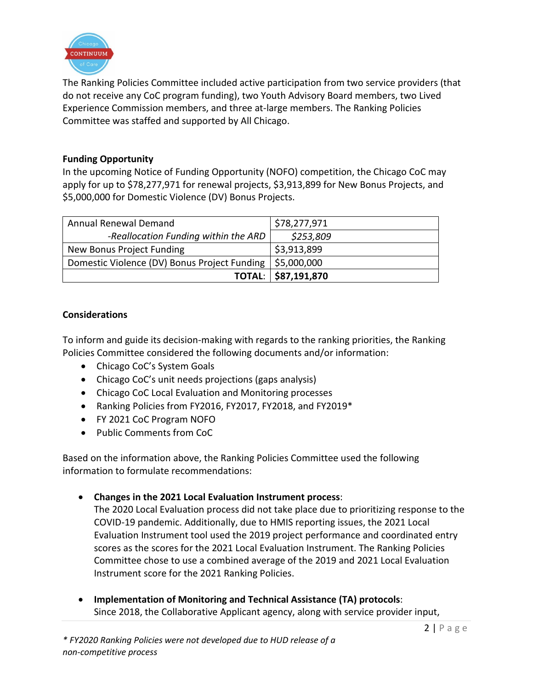

The Ranking Policies Committee included active participation from two service providers (that do not receive any CoC program funding), two Youth Advisory Board members, two Lived Experience Commission members, and three at-large members. The Ranking Policies Committee was staffed and supported by All Chicago.

#### **Funding Opportunity**

In the upcoming Notice of Funding Opportunity (NOFO) competition, the Chicago CoC may apply for up to \$78,277,971 for renewal projects, \$3,913,899 for New Bonus Projects, and \$5,000,000 for Domestic Violence (DV) Bonus Projects.

| <b>Annual Renewal Demand</b>                               | \$78,277,971              |
|------------------------------------------------------------|---------------------------|
| -Reallocation Funding within the ARD                       | \$253,809                 |
| New Bonus Project Funding                                  | $\frac{1}{5}$ \$3,913,899 |
| Domestic Violence (DV) Bonus Project Funding   \$5,000,000 |                           |
|                                                            | TOTAL: \$87,191,870       |

## **Considerations**

To inform and guide its decision-making with regards to the ranking priorities, the Ranking Policies Committee considered the following documents and/or information:

- Chicago CoC's System Goals
- Chicago CoC's unit needs projections (gaps analysis)
- Chicago CoC Local Evaluation and Monitoring processes
- Ranking Policies from FY2016, FY2017, FY2018, and FY2019\*
- FY 2021 CoC Program NOFO
- Public Comments from CoC

Based on the information above, the Ranking Policies Committee used the following information to formulate recommendations:

• **Changes in the 2021 Local Evaluation Instrument process**:

The 2020 Local Evaluation process did not take place due to prioritizing response to the COVID-19 pandemic. Additionally, due to HMIS reporting issues, the 2021 Local Evaluation Instrument tool used the 2019 project performance and coordinated entry scores as the scores for the 2021 Local Evaluation Instrument. The Ranking Policies Committee chose to use a combined average of the 2019 and 2021 Local Evaluation Instrument score for the 2021 Ranking Policies.

• **Implementation of Monitoring and Technical Assistance (TA) protocols**: Since 2018, the Collaborative Applicant agency, along with service provider input,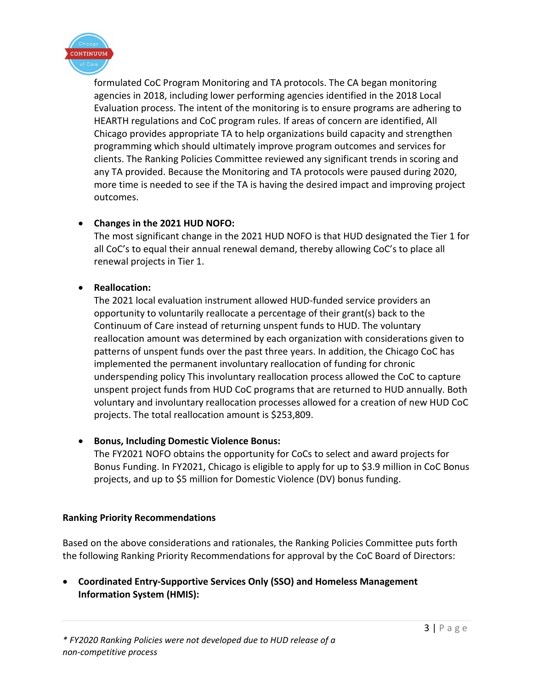

formulated CoC Program Monitoring and TA protocols. The CA began monitoring agencies in 2018, including lower performing agencies identified in the 2018 Local Evaluation process. The intent of the monitoring is to ensure programs are adhering to HEARTH regulations and CoC program rules. If areas of concern are identified, All Chicago provides appropriate TA to help organizations build capacity and strengthen programming which should ultimately improve program outcomes and services for clients. The Ranking Policies Committee reviewed any significant trends in scoring and any TA provided. Because the Monitoring and TA protocols were paused during 2020, more time is needed to see if the TA is having the desired impact and improving project outcomes.

# • **Changes in the 2021 HUD NOFO:**

The most significant change in the 2021 HUD NOFO is that HUD designated the Tier 1 for all CoC's to equal their annual renewal demand, thereby allowing CoC's to place all renewal projects in Tier 1.

## • **Reallocation:**

The 2021 local evaluation instrument allowed HUD-funded service providers an opportunity to voluntarily reallocate a percentage of their grant(s) back to the Continuum of Care instead of returning unspent funds to HUD. The voluntary reallocation amount was determined by each organization with considerations given to patterns of unspent funds over the past three years. In addition, the Chicago CoC has implemented the permanent involuntary reallocation of funding for chronic underspending policy This involuntary reallocation process allowed the CoC to capture unspent project funds from HUD CoC programs that are returned to HUD annually. Both voluntary and involuntary reallocation processes allowed for a creation of new HUD CoC projects. The total reallocation amount is \$253,809.

## • **Bonus, Including Domestic Violence Bonus:**

The FY2021 NOFO obtains the opportunity for CoCs to select and award projects for Bonus Funding. In FY2021, Chicago is eligible to apply for up to \$3.9 million in CoC Bonus projects, and up to \$5 million for Domestic Violence (DV) bonus funding.

#### **Ranking Priority Recommendations**

Based on the above considerations and rationales, the Ranking Policies Committee puts forth the following Ranking Priority Recommendations for approval by the CoC Board of Directors:

• **Coordinated Entry-Supportive Services Only (SSO) and Homeless Management Information System (HMIS):**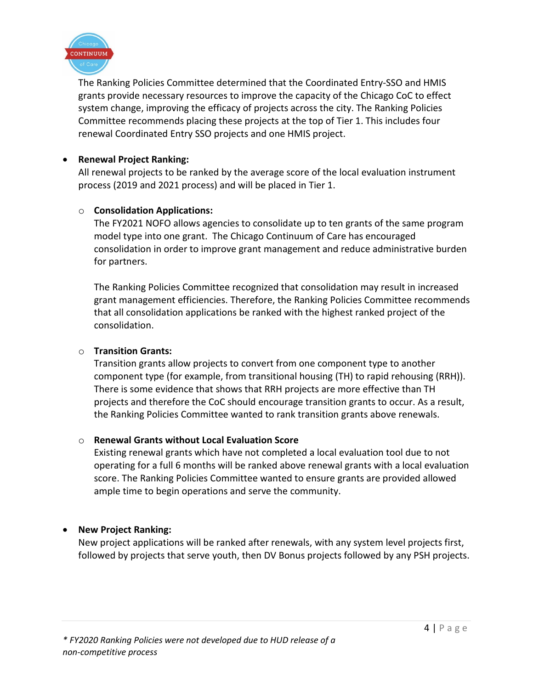

The Ranking Policies Committee determined that the Coordinated Entry-SSO and HMIS grants provide necessary resources to improve the capacity of the Chicago CoC to effect system change, improving the efficacy of projects across the city. The Ranking Policies Committee recommends placing these projects at the top of Tier 1. This includes four renewal Coordinated Entry SSO projects and one HMIS project.

#### • **Renewal Project Ranking:**

All renewal projects to be ranked by the average score of the local evaluation instrument process (2019 and 2021 process) and will be placed in Tier 1.

## o **Consolidation Applications:**

The FY2021 NOFO allows agencies to consolidate up to ten grants of the same program model type into one grant. The Chicago Continuum of Care has encouraged consolidation in order to improve grant management and reduce administrative burden for partners.

The Ranking Policies Committee recognized that consolidation may result in increased grant management efficiencies. Therefore, the Ranking Policies Committee recommends that all consolidation applications be ranked with the highest ranked project of the consolidation.

#### o **Transition Grants:**

Transition grants allow projects to convert from one component type to another component type (for example, from transitional housing (TH) to rapid rehousing (RRH)). There is some evidence that shows that RRH projects are more effective than TH projects and therefore the CoC should encourage transition grants to occur. As a result, the Ranking Policies Committee wanted to rank transition grants above renewals.

#### o **Renewal Grants without Local Evaluation Score**

Existing renewal grants which have not completed a local evaluation tool due to not operating for a full 6 months will be ranked above renewal grants with a local evaluation score. The Ranking Policies Committee wanted to ensure grants are provided allowed ample time to begin operations and serve the community.

## • **New Project Ranking:**

New project applications will be ranked after renewals, with any system level projects first, followed by projects that serve youth, then DV Bonus projects followed by any PSH projects.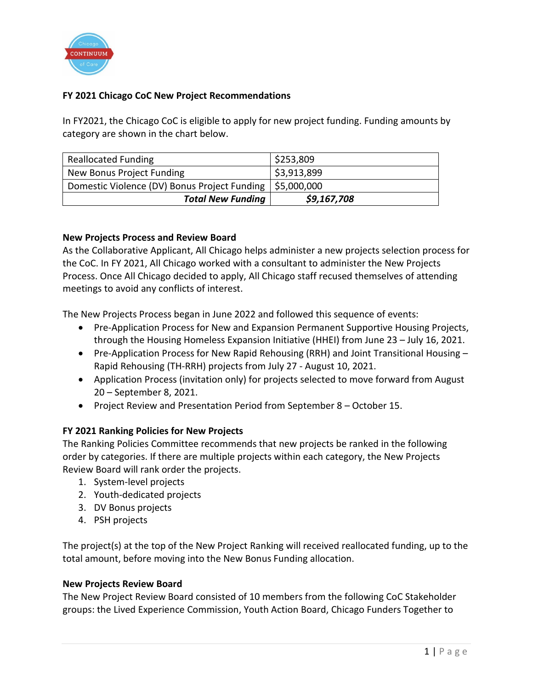

## **FY 2021 Chicago CoC New Project Recommendations**

In FY2021, the Chicago CoC is eligible to apply for new project funding. Funding amounts by category are shown in the chart below.

| <b>Reallocated Funding</b>                                 | \$253,809   |
|------------------------------------------------------------|-------------|
| New Bonus Project Funding                                  | \$3,913,899 |
| Domestic Violence (DV) Bonus Project Funding   \$5,000,000 |             |
| <b>Total New Funding</b>                                   | \$9,167,708 |

#### **New Projects Process and Review Board**

As the Collaborative Applicant, All Chicago helps administer a new projects selection process for the CoC. In FY 2021, All Chicago worked with a consultant to administer the New Projects Process. Once All Chicago decided to apply, All Chicago staff recused themselves of attending meetings to avoid any conflicts of interest.

The New Projects Process began in June 2022 and followed this sequence of events:

- Pre-Application Process for New and Expansion Permanent Supportive Housing Projects, through the Housing Homeless Expansion Initiative (HHEI) from June 23 – July 16, 2021.
- Pre-Application Process for New Rapid Rehousing (RRH) and Joint Transitional Housing Rapid Rehousing (TH-RRH) projects from July 27 - August 10, 2021.
- Application Process (invitation only) for projects selected to move forward from August 20 – September 8, 2021.
- Project Review and Presentation Period from September 8 October 15.

#### **FY 2021 Ranking Policies for New Projects**

The Ranking Policies Committee recommends that new projects be ranked in the following order by categories. If there are multiple projects within each category, the New Projects Review Board will rank order the projects.

- 1. System-level projects
- 2. Youth-dedicated projects
- 3. DV Bonus projects
- 4. PSH projects

The project(s) at the top of the New Project Ranking will received reallocated funding, up to the total amount, before moving into the New Bonus Funding allocation.

#### **New Projects Review Board**

The New Project Review Board consisted of 10 members from the following CoC Stakeholder groups: the Lived Experience Commission, Youth Action Board, Chicago Funders Together to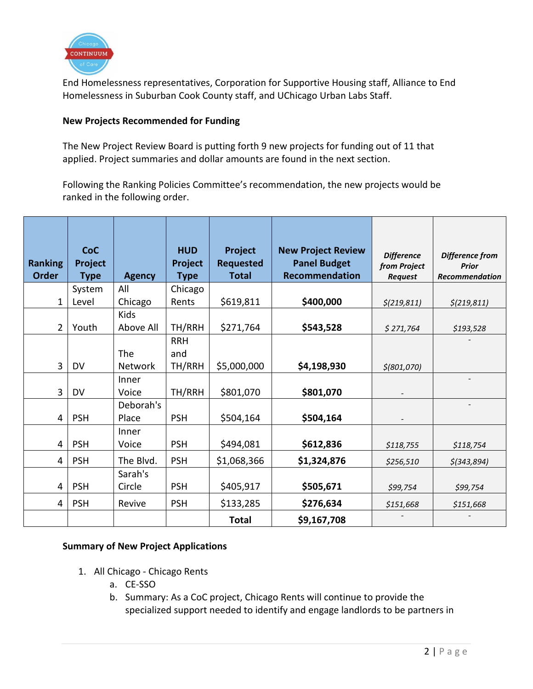

End Homelessness representatives, Corporation for Supportive Housing staff, Alliance to End Homelessness in Suburban Cook County staff, and UChicago Urban Labs Staff.

#### **New Projects Recommended for Funding**

The New Project Review Board is putting forth 9 new projects for funding out of 11 that applied. Project summaries and dollar amounts are found in the next section.

Following the Ranking Policies Committee's recommendation, the new projects would be ranked in the following order.

| <b>Ranking</b> | <b>CoC</b><br>Project |               | <b>HUD</b><br>Project | Project<br><b>Requested</b> | <b>New Project Review</b><br><b>Panel Budget</b> | <b>Difference</b><br>from Project | Difference from<br><b>Prior</b> |
|----------------|-----------------------|---------------|-----------------------|-----------------------------|--------------------------------------------------|-----------------------------------|---------------------------------|
| <b>Order</b>   | Type                  | <b>Agency</b> | <b>Type</b>           | <b>Total</b>                | Recommendation                                   | <b>Request</b>                    | <b>Recommendation</b>           |
|                | System                | All           | Chicago               |                             |                                                  |                                   |                                 |
| 1              | Level                 | Chicago       | Rents                 | \$619,811                   | \$400,000                                        | \$(219, 811)                      | $\frac{\xi(219, 811)}{}$        |
|                |                       | Kids          |                       |                             |                                                  |                                   |                                 |
| $\overline{2}$ | Youth                 | Above All     | TH/RRH                | \$271,764                   | \$543,528                                        | \$271,764                         | \$193,528                       |
|                |                       |               | <b>RRH</b>            |                             |                                                  |                                   |                                 |
|                |                       | The           | and                   |                             |                                                  |                                   |                                 |
| 3              | <b>DV</b>             | Network       | TH/RRH                | \$5,000,000                 | \$4,198,930                                      | $$$ (801,070)                     |                                 |
|                |                       | Inner         |                       |                             |                                                  |                                   |                                 |
| 3              | DV                    | Voice         | TH/RRH                | \$801,070                   | \$801,070                                        |                                   |                                 |
|                |                       | Deborah's     |                       |                             |                                                  |                                   |                                 |
| 4              | <b>PSH</b>            | Place         | <b>PSH</b>            | \$504,164                   | \$504,164                                        |                                   |                                 |
|                |                       | Inner         |                       |                             |                                                  |                                   |                                 |
| 4              | <b>PSH</b>            | Voice         | <b>PSH</b>            | \$494,081                   | \$612,836                                        | \$118,755                         | \$118,754                       |
| 4              | <b>PSH</b>            | The Blvd.     | <b>PSH</b>            | \$1,068,366                 | \$1,324,876                                      | \$256,510                         | $$$ (343,894)                   |
|                |                       | Sarah's       |                       |                             |                                                  |                                   |                                 |
| 4              | <b>PSH</b>            | Circle        | <b>PSH</b>            | \$405,917                   | \$505,671                                        | \$99,754                          | \$99,754                        |
| 4              | <b>PSH</b>            | Revive        | <b>PSH</b>            | \$133,285                   | \$276,634                                        | \$151,668                         | \$151,668                       |
|                |                       |               |                       | <b>Total</b>                | \$9,167,708                                      |                                   |                                 |

## **Summary of New Project Applications**

- 1. All Chicago Chicago Rents
	- a. CE-SSO
	- b. Summary: As a CoC project, Chicago Rents will continue to provide the specialized support needed to identify and engage landlords to be partners in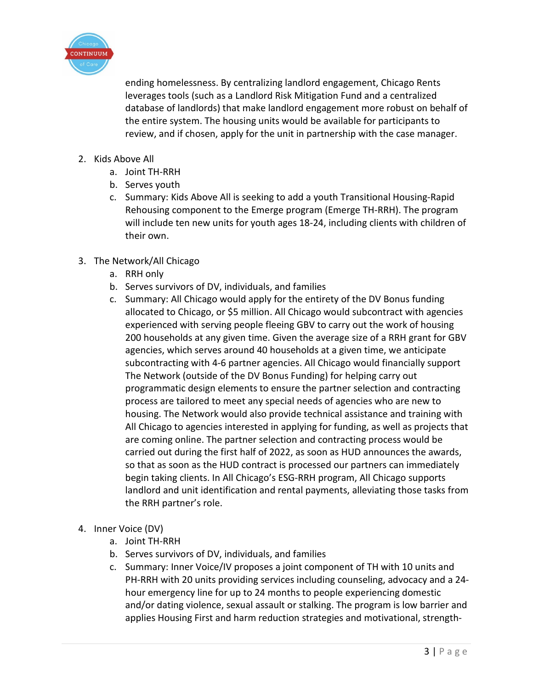

ending homelessness. By centralizing landlord engagement, Chicago Rents leverages tools (such as a Landlord Risk Mitigation Fund and a centralized database of landlords) that make landlord engagement more robust on behalf of the entire system. The housing units would be available for participants to review, and if chosen, apply for the unit in partnership with the case manager.

- 2. Kids Above All
	- a. Joint TH-RRH
	- b. Serves youth
	- c. Summary: Kids Above All is seeking to add a youth Transitional Housing-Rapid Rehousing component to the Emerge program (Emerge TH-RRH). The program will include ten new units for youth ages 18-24, including clients with children of their own.
- 3. The Network/All Chicago
	- a. RRH only
	- b. Serves survivors of DV, individuals, and families
	- c. Summary: All Chicago would apply for the entirety of the DV Bonus funding allocated to Chicago, or \$5 million. All Chicago would subcontract with agencies experienced with serving people fleeing GBV to carry out the work of housing 200 households at any given time. Given the average size of a RRH grant for GBV agencies, which serves around 40 households at a given time, we anticipate subcontracting with 4-6 partner agencies. All Chicago would financially support The Network (outside of the DV Bonus Funding) for helping carry out programmatic design elements to ensure the partner selection and contracting process are tailored to meet any special needs of agencies who are new to housing. The Network would also provide technical assistance and training with All Chicago to agencies interested in applying for funding, as well as projects that are coming online. The partner selection and contracting process would be carried out during the first half of 2022, as soon as HUD announces the awards, so that as soon as the HUD contract is processed our partners can immediately begin taking clients. In All Chicago's ESG-RRH program, All Chicago supports landlord and unit identification and rental payments, alleviating those tasks from the RRH partner's role.
- 4. Inner Voice (DV)
	- a. Joint TH-RRH
	- b. Serves survivors of DV, individuals, and families
	- c. Summary: Inner Voice/IV proposes a joint component of TH with 10 units and PH-RRH with 20 units providing services including counseling, advocacy and a 24 hour emergency line for up to 24 months to people experiencing domestic and/or dating violence, sexual assault or stalking. The program is low barrier and applies Housing First and harm reduction strategies and motivational, strength-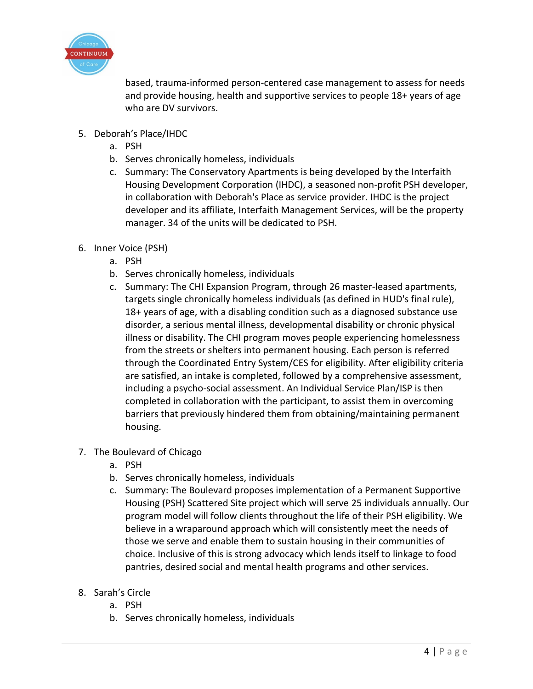

based, trauma-informed person-centered case management to assess for needs and provide housing, health and supportive services to people 18+ years of age who are DV survivors.

- 5. Deborah's Place/IHDC
	- a. PSH
	- b. Serves chronically homeless, individuals
	- c. Summary: The Conservatory Apartments is being developed by the Interfaith Housing Development Corporation (IHDC), a seasoned non-profit PSH developer, in collaboration with Deborah's Place as service provider. IHDC is the project developer and its affiliate, Interfaith Management Services, will be the property manager. 34 of the units will be dedicated to PSH.
- 6. Inner Voice (PSH)
	- a. PSH
	- b. Serves chronically homeless, individuals
	- c. Summary: The CHI Expansion Program, through 26 master-leased apartments, targets single chronically homeless individuals (as defined in HUD's final rule), 18+ years of age, with a disabling condition such as a diagnosed substance use disorder, a serious mental illness, developmental disability or chronic physical illness or disability. The CHI program moves people experiencing homelessness from the streets or shelters into permanent housing. Each person is referred through the Coordinated Entry System/CES for eligibility. After eligibility criteria are satisfied, an intake is completed, followed by a comprehensive assessment, including a psycho-social assessment. An Individual Service Plan/ISP is then completed in collaboration with the participant, to assist them in overcoming barriers that previously hindered them from obtaining/maintaining permanent housing.
- 7. The Boulevard of Chicago
	- a. PSH
	- b. Serves chronically homeless, individuals
	- c. Summary: The Boulevard proposes implementation of a Permanent Supportive Housing (PSH) Scattered Site project which will serve 25 individuals annually. Our program model will follow clients throughout the life of their PSH eligibility. We believe in a wraparound approach which will consistently meet the needs of those we serve and enable them to sustain housing in their communities of choice. Inclusive of this is strong advocacy which lends itself to linkage to food pantries, desired social and mental health programs and other services.
- 8. Sarah's Circle
	- a. PSH
	- b. Serves chronically homeless, individuals